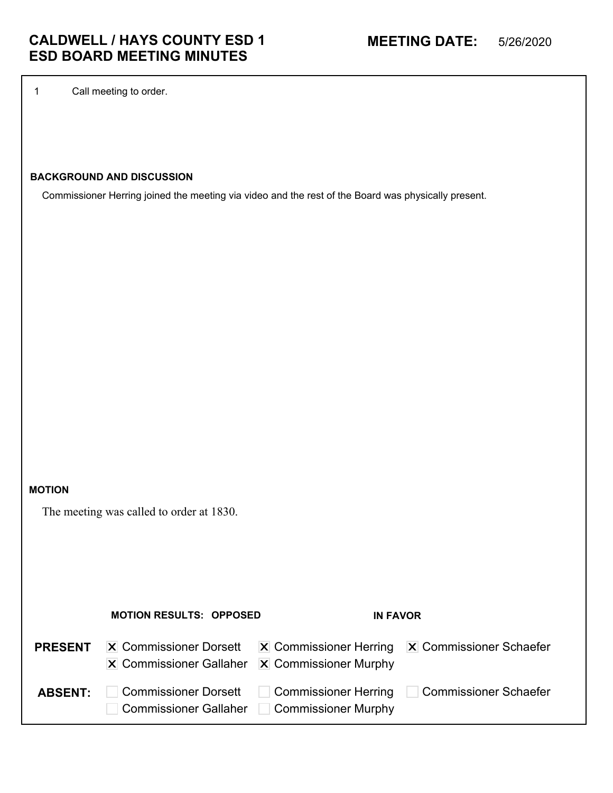1 Call meeting to order.

# **BACKGROUND AND DISCUSSION**

Commissioner Herring joined the meeting via video and the rest of the Board was physically present.

#### **MOTION**

The meeting was called to order at 1830.

|                | <b>MOTION RESULTS: OPPOSED</b>                                  | <b>IN FAVOR</b>                             |                                                                          |
|----------------|-----------------------------------------------------------------|---------------------------------------------|--------------------------------------------------------------------------|
| <b>PRESENT</b> | <b>X</b> Commissioner Dorsett<br><b>X</b> Commissioner Gallaher | $ \mathbf{X} $ Commissioner Murphy          | $ \mathbf{X} $ Commissioner Herring $ \mathbf{X} $ Commissioner Schaefer |
| <b>ABSENT:</b> | <b>Commissioner Dorsett</b><br><b>Commissioner Gallaher</b>     | Commissioner Herring<br>Commissioner Murphy | Commissioner Schaefer                                                    |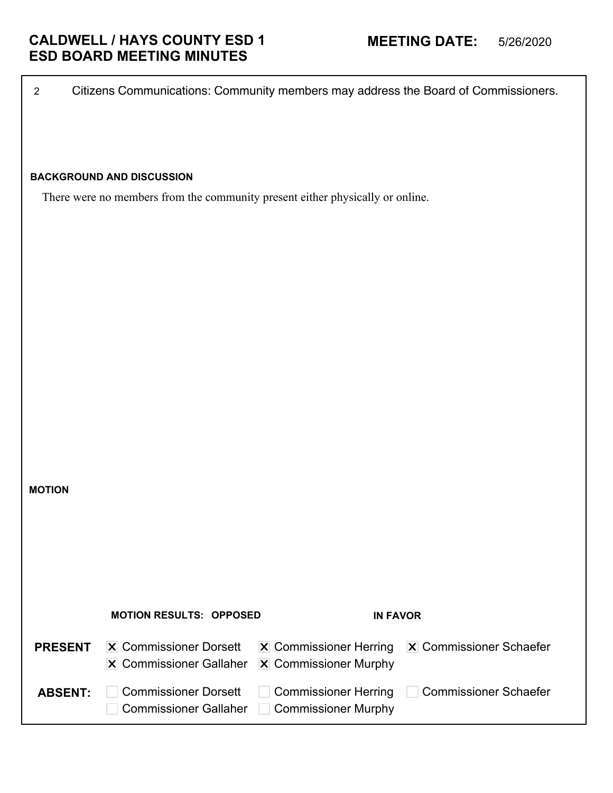|                | <b>BACKGROUND AND DISCUSSION</b>                                              |                               |                              |
|----------------|-------------------------------------------------------------------------------|-------------------------------|------------------------------|
|                | There were no members from the community present either physically or online. |                               |                              |
|                |                                                                               |                               |                              |
|                |                                                                               |                               |                              |
|                |                                                                               |                               |                              |
|                |                                                                               |                               |                              |
|                |                                                                               |                               |                              |
|                |                                                                               |                               |                              |
|                |                                                                               |                               |                              |
|                |                                                                               |                               |                              |
|                |                                                                               |                               |                              |
|                |                                                                               |                               |                              |
|                |                                                                               |                               |                              |
| <b>MOTION</b>  |                                                                               |                               |                              |
|                |                                                                               |                               |                              |
|                |                                                                               |                               |                              |
|                |                                                                               |                               |                              |
|                |                                                                               |                               |                              |
|                | <b>MOTION RESULTS: OPPOSED</b>                                                | <b>IN FAVOR</b>               |                              |
| <b>PRESENT</b> | <b>X</b> Commissioner Dorsett                                                 | <b>X</b> Commissioner Herring | X Commissioner Schaefer      |
|                | <b>X</b> Commissioner Gallaher                                                | X Commissioner Murphy         |                              |
| <b>ABSENT:</b> | <b>Commissioner Dorsett</b>                                                   | <b>Commissioner Herring</b>   | <b>Commissioner Schaefer</b> |
|                | <b>Commissioner Gallaher</b>                                                  | <b>Commissioner Murphy</b>    |                              |
|                |                                                                               |                               |                              |

2 Citizens Communications: Community members may address the Board of Commissioners.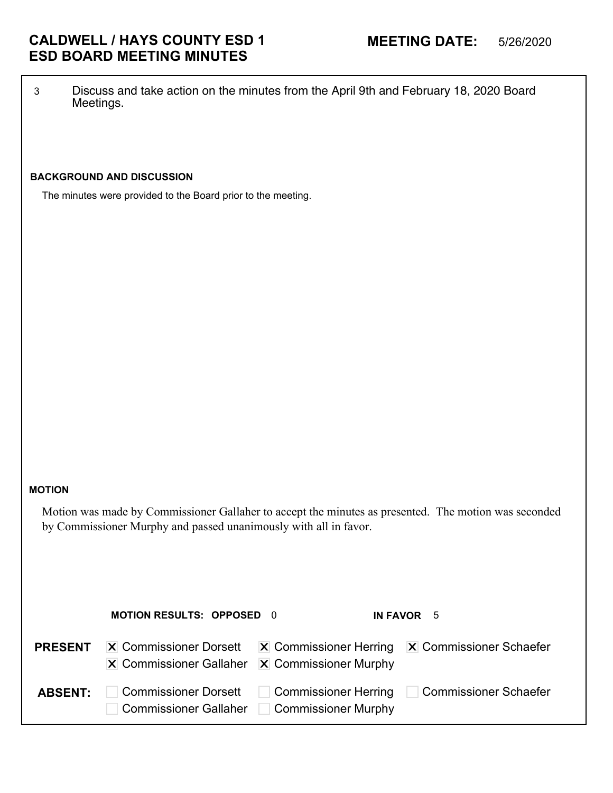3 Discuss and take action on the minutes from the April 9th and February 18, 2020 Board Meetings.

## **BACKGROUND AND DISCUSSION**

The minutes were provided to the Board prior to the meeting.

#### **MOTION**

Motion was made by Commissioner Gallaher to accept the minutes as presented. The motion was seconded by Commissioner Murphy and passed unanimously with all in favor.

|                | <b>MOTION RESULTS: OPPOSED 0</b>                                                                         |                     | IN FAVOR 5                                                               |
|----------------|----------------------------------------------------------------------------------------------------------|---------------------|--------------------------------------------------------------------------|
| <b>PRESENT</b> | <b>X</b> Commissioner Dorsett<br>$ \mathbf{X} $ Commissioner Gallaher $ \mathbf{X} $ Commissioner Murphy |                     | $ \mathbf{X} $ Commissioner Herring $ \mathbf{X} $ Commissioner Schaefer |
| <b>ABSENT:</b> | <b>Commissioner Dorsett</b><br>Commissioner Gallaher                                                     | Commissioner Murphy | ■ Commissioner Herring □ Commissioner Schaefer                           |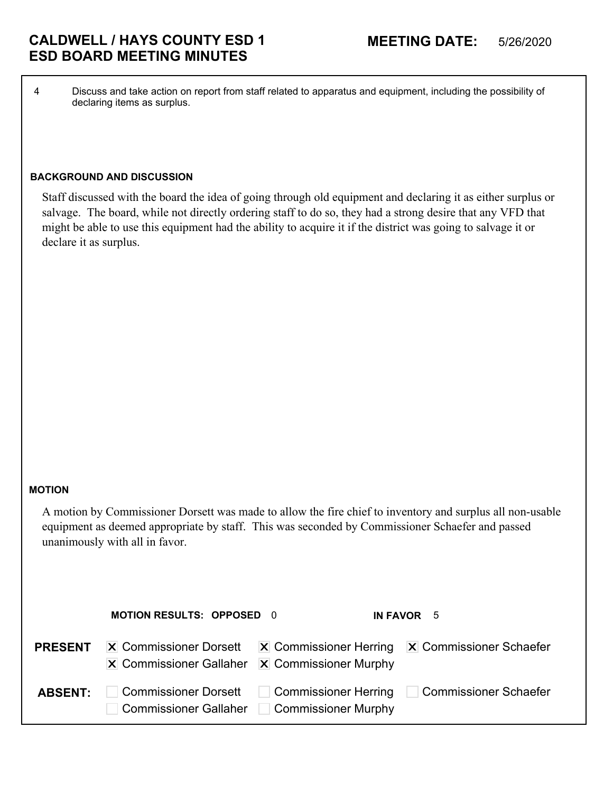4 Discuss and take action on report from staff related to apparatus and equipment, including the possibility of declaring items as surplus.

### **BACKGROUND AND DISCUSSION**

Staff discussed with the board the idea of going through old equipment and declaring it as either surplus or salvage. The board, while not directly ordering staff to do so, they had a strong desire that any VFD that might be able to use this equipment had the ability to acquire it if the district was going to salvage it or declare it as surplus.

### **MOTION**

A motion by Commissioner Dorsett was made to allow the fire chief to inventory and surplus all non-usable equipment as deemed appropriate by staff. This was seconded by Commissioner Schaefer and passed unanimously with all in favor.

|                | <b>MOTION RESULTS: OPPOSED 0</b>                                                                         |                     | IN FAVOR 5                                                               |
|----------------|----------------------------------------------------------------------------------------------------------|---------------------|--------------------------------------------------------------------------|
| <b>PRESENT</b> | <b>X</b> Commissioner Dorsett<br>$\overline{X}$ Commissioner Gallaher $\overline{X}$ Commissioner Murphy |                     | $ \mathbf{X} $ Commissioner Herring $ \mathbf{X} $ Commissioner Schaefer |
| <b>ABSENT:</b> | <b>Commissioner Dorsett</b><br><b>Commissioner Gallaher</b>                                              | Commissioner Murphy | □ Commissioner Herring □ Commissioner Schaefer                           |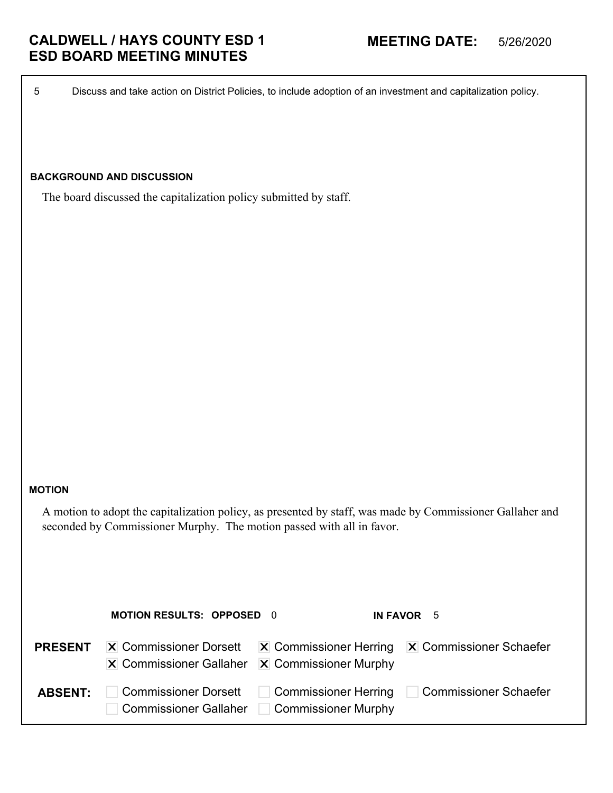5 Discuss and take action on District Policies, to include adoption of an investment and capitalization policy.

## **BACKGROUND AND DISCUSSION**

The board discussed the capitalization policy submitted by staff.

#### **MOTION**

A motion to adopt the capitalization policy, as presented by staff, was made by Commissioner Gallaher and seconded by Commissioner Murphy. The motion passed with all in favor.

|                | <b>MOTION RESULTS: OPPOSED 0</b>                                                                         |                     | IN FAVOR 5                                                               |
|----------------|----------------------------------------------------------------------------------------------------------|---------------------|--------------------------------------------------------------------------|
| <b>PRESENT</b> | <b>X</b> Commissioner Dorsett<br>$ \mathbf{X} $ Commissioner Gallaher $ \mathbf{X} $ Commissioner Murphy |                     | $ \mathbf{X} $ Commissioner Herring $ \mathbf{X} $ Commissioner Schaefer |
| <b>ABSENT:</b> | <b>Commissioner Dorsett</b><br><b>Commissioner Gallaher</b>                                              | Commissioner Murphy | ■ Commissioner Herring □ Commissioner Schaefer                           |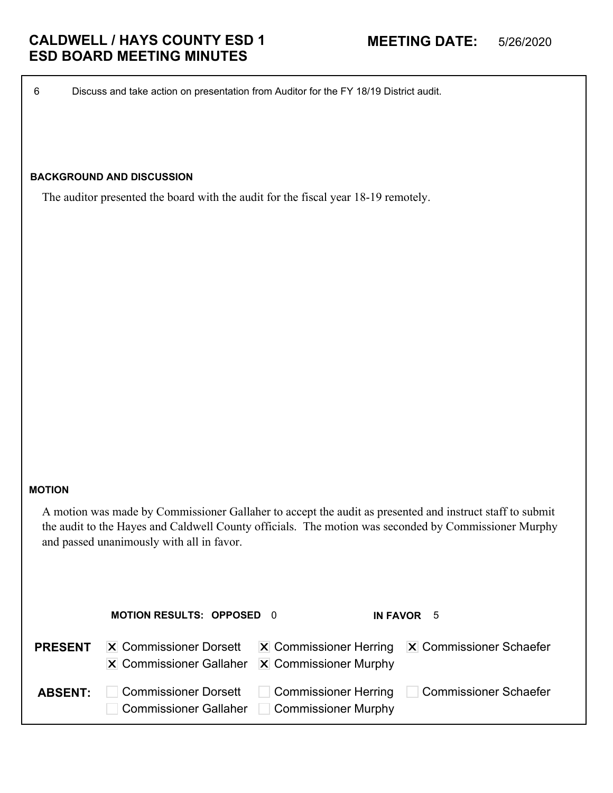6 Discuss and take action on presentation from Auditor for the FY 18/19 District audit.

## **BACKGROUND AND DISCUSSION**

The auditor presented the board with the audit for the fiscal year 18-19 remotely.

#### **MOTION**

A motion was made by Commissioner Gallaher to accept the audit as presented and instruct staff to submit the audit to the Hayes and Caldwell County officials. The motion was seconded by Commissioner Murphy and passed unanimously with all in favor.

|                | <b>MOTION RESULTS: OPPOSED 0</b>                                                               |                                             | IN FAVOR 5                                                               |
|----------------|------------------------------------------------------------------------------------------------|---------------------------------------------|--------------------------------------------------------------------------|
| <b>PRESENT</b> | <b>X</b> Commissioner Dorsett<br>$\vert$ X Commissioner Gallaher $\vert$ X Commissioner Murphy |                                             | $ \mathbf{X} $ Commissioner Herring $ \mathbf{X} $ Commissioner Schaefer |
| <b>ABSENT:</b> | <b>Commissioner Dorsett</b><br><b>Commissioner Gallaher</b>                                    | Commissioner Herring<br>Commissioner Murphy | Commissioner Schaefer                                                    |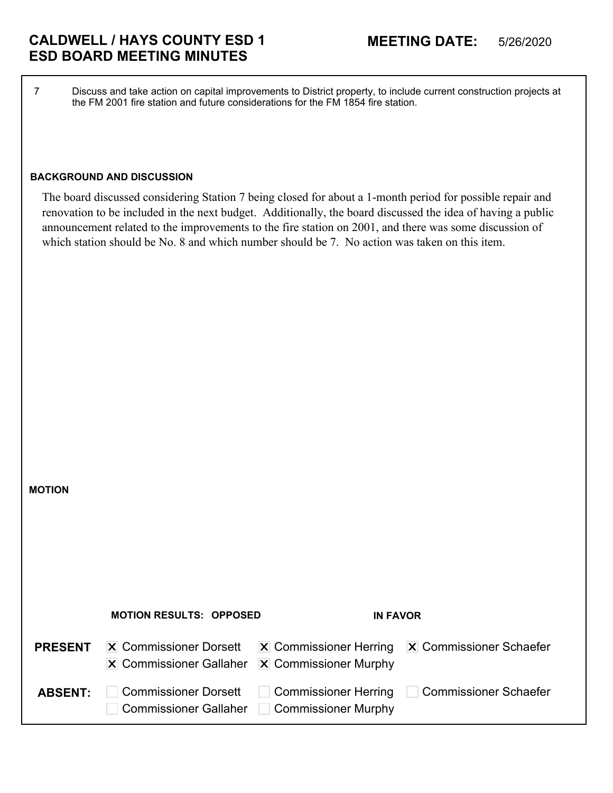7 Discuss and take action on capital improvements to District property, to include current construction projects at the FM 2001 fire station and future considerations for the FM 1854 fire station.

## **BACKGROUND AND DISCUSSION**

**MOTION**

The board discussed considering Station 7 being closed for about a 1-month period for possible repair and renovation to be included in the next budget. Additionally, the board discussed the idea of having a public announcement related to the improvements to the fire station on 2001, and there was some discussion of which station should be No. 8 and which number should be 7. No action was taken on this item.

|                | <b>MOTION RESULTS: OPPOSED</b>                                  | <b>IN FAVOR</b>                                    |                                                                          |
|----------------|-----------------------------------------------------------------|----------------------------------------------------|--------------------------------------------------------------------------|
| <b>PRESENT</b> | <b>X</b> Commissioner Dorsett<br><b>X</b> Commissioner Gallaher | $\overline{X}$ Commissioner Murphy                 | $ \mathbf{X} $ Commissioner Herring $ \mathbf{X} $ Commissioner Schaefer |
| <b>ABSENT:</b> | <b>Commissioner Dorsett</b><br><b>Commissioner Gallaher</b>     | <b>Commissioner Herring</b><br>Commissioner Murphy | □ Commissioner Schaefer                                                  |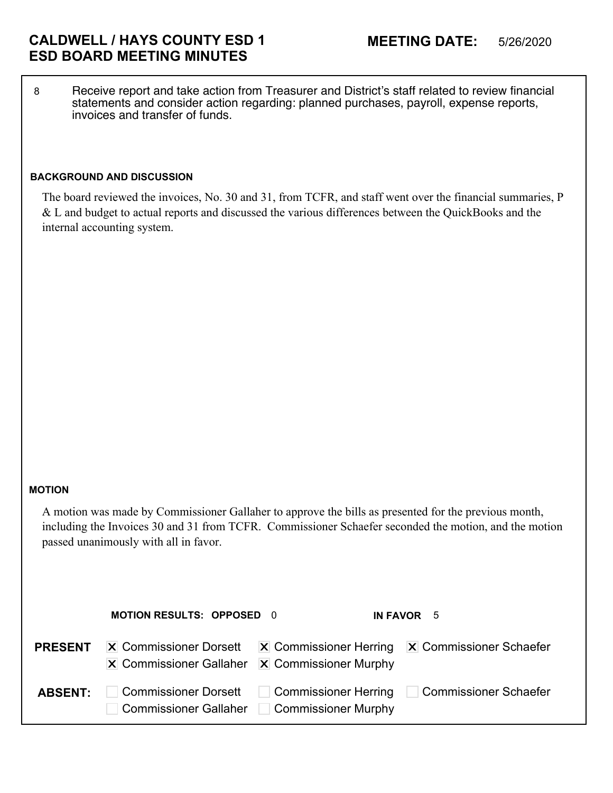8 Receive report and take action from Treasurer and District's staff related to review financial statements and consider action regarding: planned purchases, payroll, expense reports, invoices and transfer of funds.

### **BACKGROUND AND DISCUSSION**

The board reviewed the invoices, No. 30 and 31, from TCFR, and staff went over the financial summaries, P & L and budget to actual reports and discussed the various differences between the QuickBooks and the internal accounting system.

#### **MOTION**

A motion was made by Commissioner Gallaher to approve the bills as presented for the previous month, including the Invoices 30 and 31 from TCFR. Commissioner Schaefer seconded the motion, and the motion passed unanimously with all in favor.

|                | <b>MOTION RESULTS: OPPOSED 0</b>                                                                         |                     | IN FAVOR 5                                                               |
|----------------|----------------------------------------------------------------------------------------------------------|---------------------|--------------------------------------------------------------------------|
| <b>PRESENT</b> | <b>X</b> Commissioner Dorsett<br>$ \mathbf{X} $ Commissioner Gallaher $ \mathbf{X} $ Commissioner Murphy |                     | $ \mathbf{X} $ Commissioner Herring $ \mathbf{X} $ Commissioner Schaefer |
| <b>ABSENT:</b> | <b>Commissioner Dorsett</b><br>Commissioner Gallaher                                                     | Commissioner Murphy | □ Commissioner Herring □ Commissioner Schaefer                           |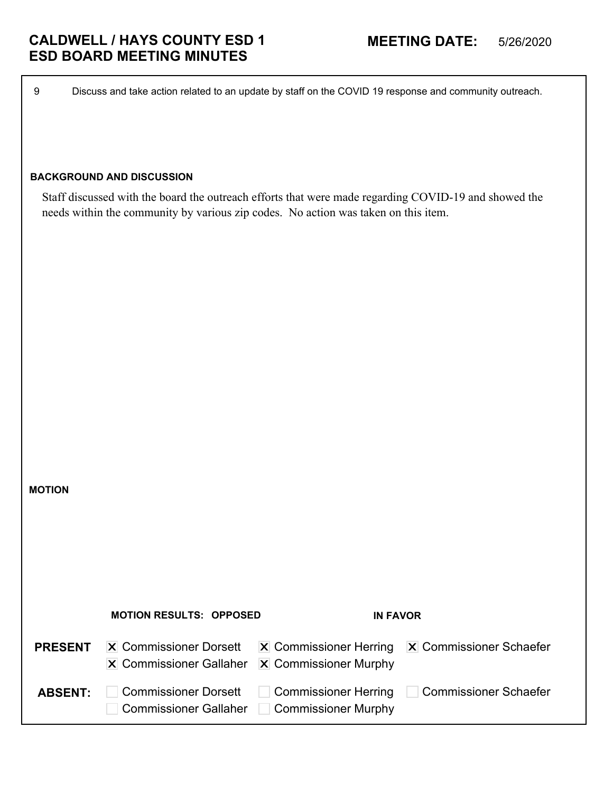9 Discuss and take action related to an update by staff on the COVID 19 response and community outreach.

## **BACKGROUND AND DISCUSSION**

**MOTION**

Staff discussed with the board the outreach efforts that were made regarding COVID-19 and showed the needs within the community by various zip codes. No action was taken on this item.

|                | <b>MOTION RESULTS: OPPOSED</b>                                              | <b>IN FAVOR</b>                                      |                                                                          |
|----------------|-----------------------------------------------------------------------------|------------------------------------------------------|--------------------------------------------------------------------------|
| <b>PRESENT</b> | $ \mathbf{X} $ Commissioner Dorsett<br>$ \mathbf{X} $ Commissioner Gallaher | $ \mathbf{X} $ Commissioner Murphy                   | $ \mathbf{X} $ Commissioner Herring $ \mathbf{X} $ Commissioner Schaefer |
| <b>ABSENT:</b> | <b>Commissioner Dorsett</b><br><b>Commissioner Gallaher</b>                 | <b>Commissioner Herring</b><br>  Commissioner Murphy | <b>Commissioner Schaefer</b>                                             |